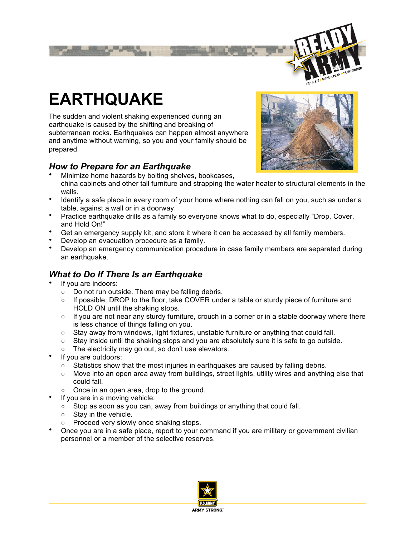

# **EARTHQUAKE**

The sudden and violent shaking experienced during an earthquake is caused by the shifting and breaking of subterranean rocks. Earthquakes can happen almost anywhere and anytime without warning, so you and your family should be prepared.

## *How to Prepare for an Earthquake*

- Minimize home hazards by bolting shelves, bookcases, china cabinets and other tall furniture and strapping the water heater to structural elements in the walls.
- Identify a safe place in every room of your home where nothing can fall on you, such as under a table, against a wall or in a doorway.
- Practice earthquake drills as a family so everyone knows what to do, especially "Drop, Cover, and Hold On!"
- Get an emergency supply kit, and store it where it can be accessed by all family members.
- Develop an evacuation procedure as a family.
- Develop an emergency communication procedure in case family members are separated during an earthquake.

## *What to Do If There Is an Earthquake*

- If you are indoors:
	- Do not run outside. There may be falling debris.
	- If possible, DROP to the floor, take COVER under a table or sturdy piece of furniture and HOLD ON until the shaking stops.
	- If you are not near any sturdy furniture, crouch in a corner or in a stable doorway where there is less chance of things falling on you.
	- Stay away from windows, light fixtures, unstable furniture or anything that could fall.
	- Stay inside until the shaking stops and you are absolutely sure it is safe to go outside.
	- The electricity may go out, so don't use elevators.
- If you are outdoors:
	- $\circ$  Statistics show that the most injuries in earthquakes are caused by falling debris.
	- Move into an open area away from buildings, street lights, utility wires and anything else that could fall.
	- Once in an open area, drop to the ground.
- If you are in a moving vehicle:
	- Stop as soon as you can, away from buildings or anything that could fall.
	- Stav in the vehicle.
	- Proceed very slowly once shaking stops.
- Once you are in a safe place, report to your command if you are military or government civilian personnel or a member of the selective reserves.